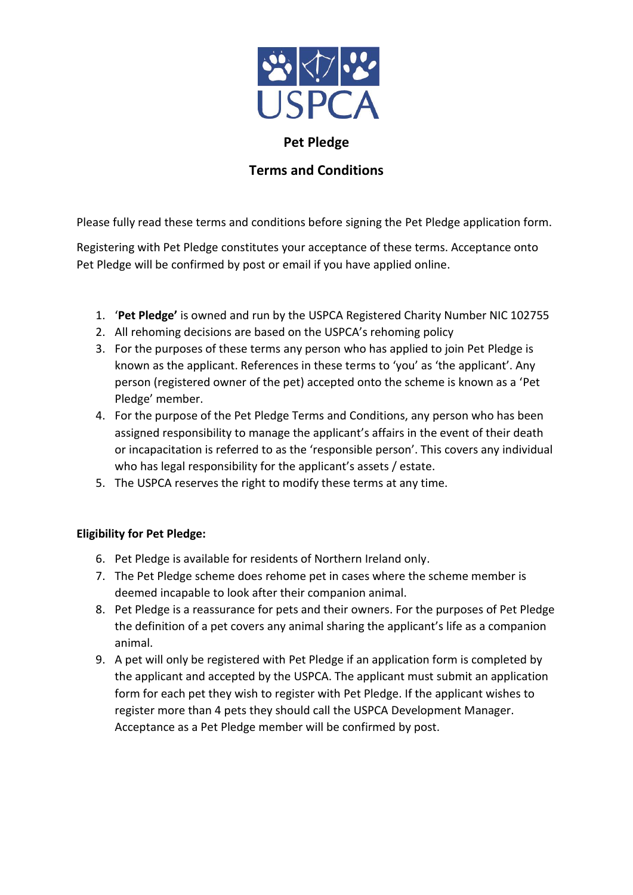

# **Pet Pledge**

# **Terms and Conditions**

Please fully read these terms and conditions before signing the Pet Pledge application form.

Registering with Pet Pledge constitutes your acceptance of these terms. Acceptance onto Pet Pledge will be confirmed by post or email if you have applied online.

- 1. '**Pet Pledge'** is owned and run by the USPCA Registered Charity Number NIC 102755
- 2. All rehoming decisions are based on the USPCA's rehoming policy
- 3. For the purposes of these terms any person who has applied to join Pet Pledge is known as the applicant. References in these terms to 'you' as 'the applicant'. Any person (registered owner of the pet) accepted onto the scheme is known as a 'Pet Pledge' member.
- 4. For the purpose of the Pet Pledge Terms and Conditions, any person who has been assigned responsibility to manage the applicant's affairs in the event of their death or incapacitation is referred to as the 'responsible person'. This covers any individual who has legal responsibility for the applicant's assets / estate.
- 5. The USPCA reserves the right to modify these terms at any time.

## **Eligibility for Pet Pledge:**

- 6. Pet Pledge is available for residents of Northern Ireland only.
- 7. The Pet Pledge scheme does rehome pet in cases where the scheme member is deemed incapable to look after their companion animal.
- 8. Pet Pledge is a reassurance for pets and their owners. For the purposes of Pet Pledge the definition of a pet covers any animal sharing the applicant's life as a companion animal.
- 9. A pet will only be registered with Pet Pledge if an application form is completed by the applicant and accepted by the USPCA. The applicant must submit an application form for each pet they wish to register with Pet Pledge. If the applicant wishes to register more than 4 pets they should call the USPCA Development Manager. Acceptance as a Pet Pledge member will be confirmed by post.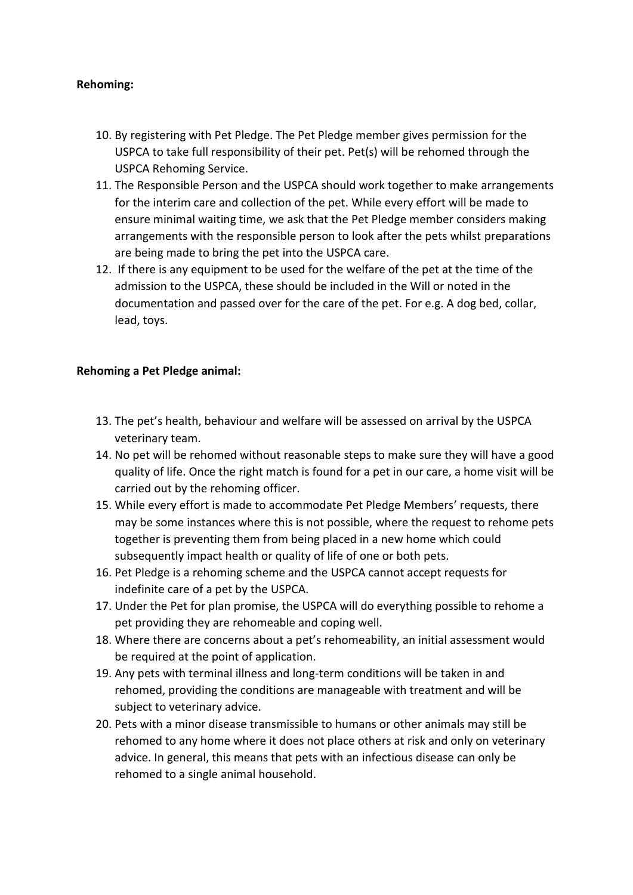### **Rehoming:**

- 10. By registering with Pet Pledge. The Pet Pledge member gives permission for the USPCA to take full responsibility of their pet. Pet(s) will be rehomed through the USPCA Rehoming Service.
- 11. The Responsible Person and the USPCA should work together to make arrangements for the interim care and collection of the pet. While every effort will be made to ensure minimal waiting time, we ask that the Pet Pledge member considers making arrangements with the responsible person to look after the pets whilst preparations are being made to bring the pet into the USPCA care.
- 12. If there is any equipment to be used for the welfare of the pet at the time of the admission to the USPCA, these should be included in the Will or noted in the documentation and passed over for the care of the pet. For e.g. A dog bed, collar, lead, toys.

#### **Rehoming a Pet Pledge animal:**

- 13. The pet's health, behaviour and welfare will be assessed on arrival by the USPCA veterinary team.
- 14. No pet will be rehomed without reasonable steps to make sure they will have a good quality of life. Once the right match is found for a pet in our care, a home visit will be carried out by the rehoming officer.
- 15. While every effort is made to accommodate Pet Pledge Members' requests, there may be some instances where this is not possible, where the request to rehome pets together is preventing them from being placed in a new home which could subsequently impact health or quality of life of one or both pets.
- 16. Pet Pledge is a rehoming scheme and the USPCA cannot accept requests for indefinite care of a pet by the USPCA.
- 17. Under the Pet for plan promise, the USPCA will do everything possible to rehome a pet providing they are rehomeable and coping well.
- 18. Where there are concerns about a pet's rehomeability, an initial assessment would be required at the point of application.
- 19. Any pets with terminal illness and long-term conditions will be taken in and rehomed, providing the conditions are manageable with treatment and will be subject to veterinary advice.
- 20. Pets with a minor disease transmissible to humans or other animals may still be rehomed to any home where it does not place others at risk and only on veterinary advice. In general, this means that pets with an infectious disease can only be rehomed to a single animal household.